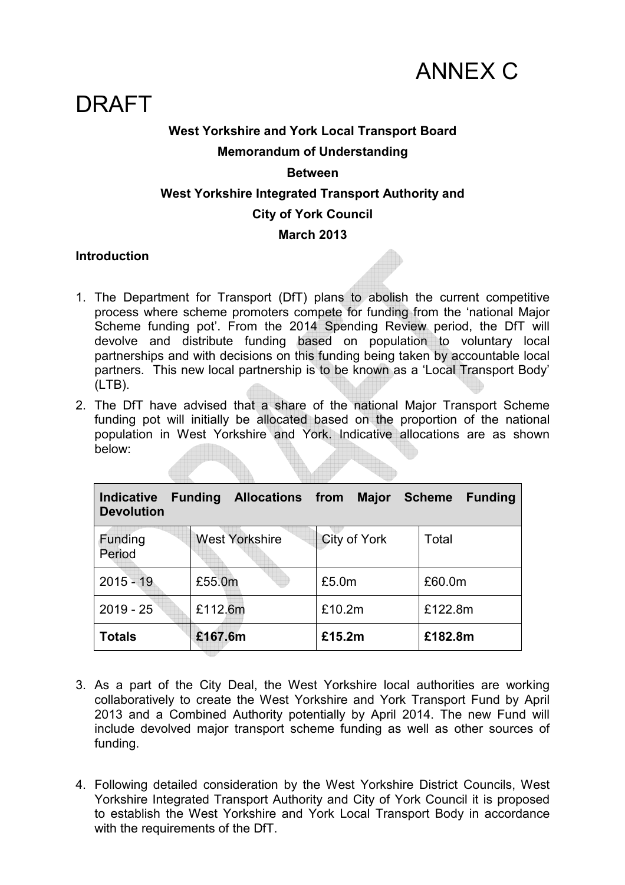

# DRAFT

## **West Yorkshire and York Local Transport Board Memorandum of Understanding**

#### **Between**

#### **West Yorkshire Integrated Transport Authority and**

#### **City of York Council**

#### **March 2013**

#### **Introduction**

- 1. The Department for Transport (DfT) plans to abolish the current competitive process where scheme promoters compete for funding from the 'national Major Scheme funding pot'. From the 2014 Spending Review period, the DfT will devolve and distribute funding based on population to voluntary local partnerships and with decisions on this funding being taken by accountable local partners. This new local partnership is to be known as a 'Local Transport Body' (LTB).
- 2. The DfT have advised that a share of the national Major Transport Scheme funding pot will initially be allocated based on the proportion of the national population in West Yorkshire and York. Indicative allocations are as shown below:

| <b>Indicative</b><br><b>Devolution</b> | <b>Funding</b> | <b>Allocations from</b> |        | <b>Major</b>        |  | <b>Scheme</b> | <b>Funding</b> |
|----------------------------------------|----------------|-------------------------|--------|---------------------|--|---------------|----------------|
| Funding<br>Period                      |                | <b>West Yorkshire</b>   |        | <b>City of York</b> |  | Total         |                |
| $2015 - 19$                            | £55.0m         |                         | £5.0m  |                     |  | £60.0m        |                |
| $2019 - 25$                            | £112.6m        |                         |        | £10.2m              |  | £122.8m       |                |
| Totals                                 | £167.6m        |                         | £15.2m |                     |  | £182.8m       |                |

- 3. As a part of the City Deal, the West Yorkshire local authorities are working collaboratively to create the West Yorkshire and York Transport Fund by April 2013 and a Combined Authority potentially by April 2014. The new Fund will include devolved major transport scheme funding as well as other sources of funding.
- 4. Following detailed consideration by the West Yorkshire District Councils, West Yorkshire Integrated Transport Authority and City of York Council it is proposed to establish the West Yorkshire and York Local Transport Body in accordance with the requirements of the DfT.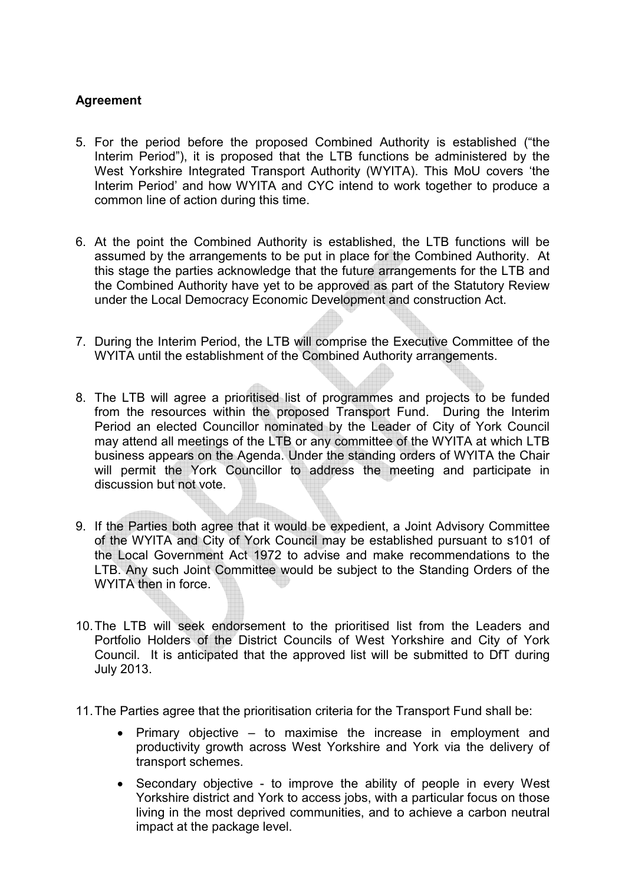### **Agreement**

- 5. For the period before the proposed Combined Authority is established ("the Interim Period"), it is proposed that the LTB functions be administered by the West Yorkshire Integrated Transport Authority (WYITA). This MoU covers 'the Interim Period' and how WYITA and CYC intend to work together to produce a common line of action during this time.
- 6. At the point the Combined Authority is established, the LTB functions will be assumed by the arrangements to be put in place for the Combined Authority. At this stage the parties acknowledge that the future arrangements for the LTB and the Combined Authority have yet to be approved as part of the Statutory Review under the Local Democracy Economic Development and construction Act.
- 7. During the Interim Period, the LTB will comprise the Executive Committee of the WYITA until the establishment of the Combined Authority arrangements.
- 8. The LTB will agree a prioritised list of programmes and projects to be funded from the resources within the proposed Transport Fund. During the Interim Period an elected Councillor nominated by the Leader of City of York Council may attend all meetings of the LTB or any committee of the WYITA at which LTB business appears on the Agenda. Under the standing orders of WYITA the Chair will permit the York Councillor to address the meeting and participate in discussion but not vote.
- 9. If the Parties both agree that it would be expedient, a Joint Advisory Committee of the WYITA and City of York Council may be established pursuant to s101 of the Local Government Act 1972 to advise and make recommendations to the LTB. Any such Joint Committee would be subject to the Standing Orders of the WYITA then in force.
- 10. The LTB will seek endorsement to the prioritised list from the Leaders and Portfolio Holders of the District Councils of West Yorkshire and City of York Council. It is anticipated that the approved list will be submitted to DfT during July 2013.
- 11. The Parties agree that the prioritisation criteria for the Transport Fund shall be:
	- Primary objective to maximise the increase in employment and productivity growth across West Yorkshire and York via the delivery of transport schemes.
	- Secondary objective to improve the ability of people in every West Yorkshire district and York to access jobs, with a particular focus on those living in the most deprived communities, and to achieve a carbon neutral impact at the package level.